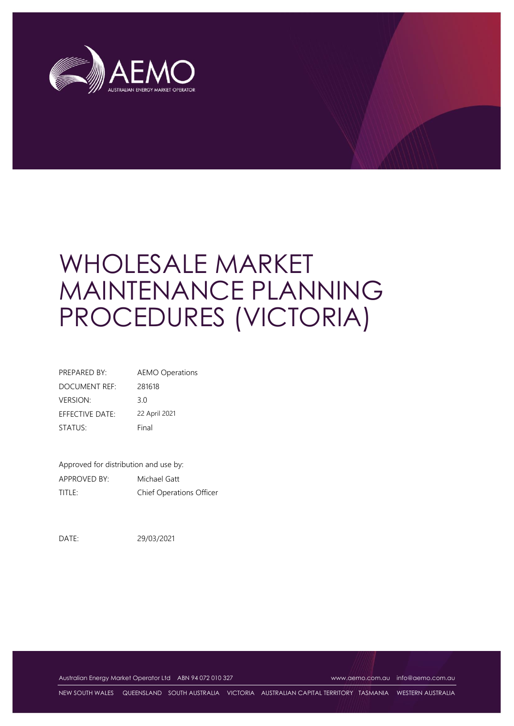

# WHOLESALE MARKET MAINTENANCE PLANNING PROCEDURES (VICTORIA)

| PREPARED BY:    | <b>AEMO Operations</b> |
|-----------------|------------------------|
| DOCUMENT REF:   | 281618                 |
| <b>VERSION:</b> | 30                     |
| EFFECTIVE DATE: | 22 April 2021          |
| STATUS:         | Final                  |

Approved for distribution and use by: APPROVED BY: Michael Gatt TITLE: Chief Operations Officer

DATE: 29/03/2021

Australian Energy Market Operator Ltd ABN 94 072 010 327 [www.aemo.com.au](http://www.aemo.com.au/) [info@aemo.com.au](mailto:info@aemo.com.au)

NEW SOUTH WALES QUEENSLAND SOUTH AUSTRALIA VICTORIA AUSTRALIAN CAPITAL TERRITORY TASMANIA WESTERN AUSTRALIA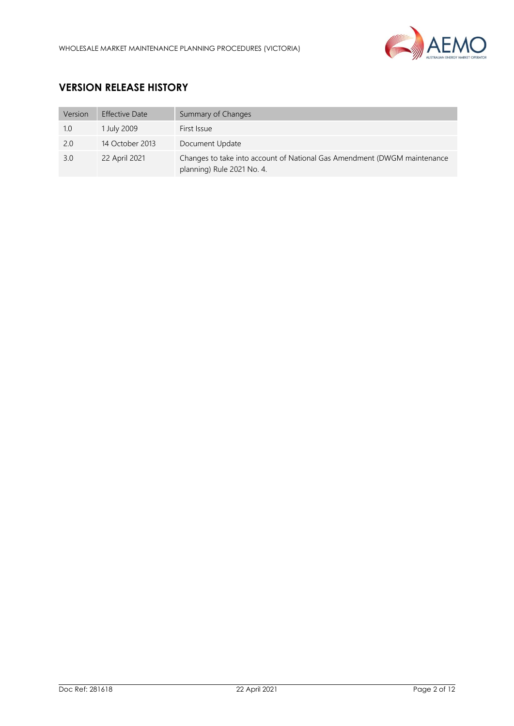

# **VERSION RELEASE HISTORY**

| Version | <b>Effective Date</b> | Summary of Changes                                                                                     |
|---------|-----------------------|--------------------------------------------------------------------------------------------------------|
| 1.0     | 1 July 2009           | First Issue                                                                                            |
| 2.0     | 14 October 2013       | Document Update                                                                                        |
| 3.0     | 22 April 2021         | Changes to take into account of National Gas Amendment (DWGM maintenance<br>planning) Rule 2021 No. 4. |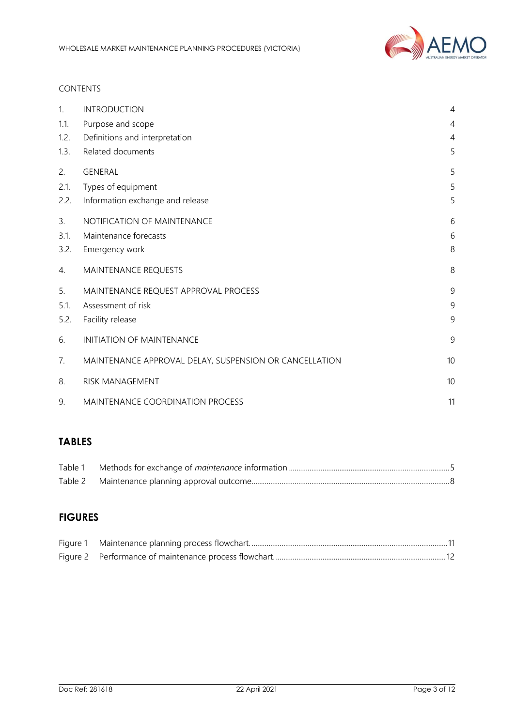

## CONTENTS

| $\mathbf{1}$ . | <b>INTRODUCTION</b>                                    | $\overline{4}$ |
|----------------|--------------------------------------------------------|----------------|
| 1.1.           | Purpose and scope                                      | 4              |
| 1.2.           | Definitions and interpretation                         | 4              |
| 1.3.           | Related documents                                      | 5              |
| 2.             | GENERAL                                                | 5              |
| 2.1.           | Types of equipment                                     | 5              |
| 2.2.           | Information exchange and release                       | 5              |
| 3.             | NOTIFICATION OF MAINTENANCE                            | 6              |
| 3.1.           | Maintenance forecasts                                  | 6              |
| 3.2.           | Emergency work                                         | 8              |
| 4.             | MAINTENANCE REQUESTS                                   | 8              |
| 5.             | MAINTENANCE REQUEST APPROVAL PROCESS                   | 9              |
| 5.1.           | Assessment of risk                                     | 9              |
| 5.2.           | Facility release                                       | 9              |
| 6.             | <b>INITIATION OF MAINTENANCE</b>                       | 9              |
| 7.             | MAINTENANCE APPROVAL DELAY, SUSPENSION OR CANCELLATION | 10             |
| 8.             | <b>RISK MANAGEMENT</b>                                 | 10             |
| 9.             | MAINTENANCE COORDINATION PROCESS                       | 11             |

# **TABLES**

# **FIGURES**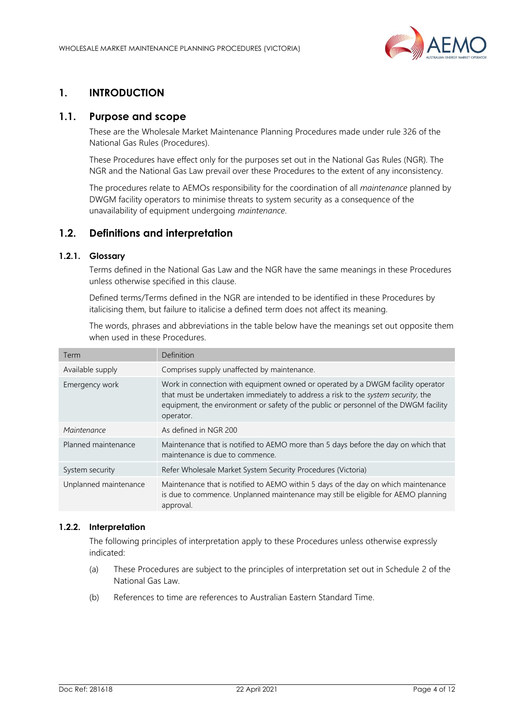

## <span id="page-3-0"></span>**1. INTRODUCTION**

## <span id="page-3-1"></span>**1.1. Purpose and scope**

These are the Wholesale Market Maintenance Planning Procedures made under rule 326 of the National Gas Rules (Procedures).

These Procedures have effect only for the purposes set out in the National Gas Rules (NGR). The NGR and the National Gas Law prevail over these Procedures to the extent of any inconsistency.

The procedures relate to AEMOs responsibility for the coordination of all *maintenance* planned by DWGM facility operators to minimise threats to system security as a consequence of the unavailability of equipment undergoing *maintenance*.

## <span id="page-3-2"></span>**1.2. Definitions and interpretation**

#### **1.2.1. Glossary**

Terms defined in the National Gas Law and the NGR have the same meanings in these Procedures unless otherwise specified in this clause.

Defined terms/Terms defined in the NGR are intended to be identified in these Procedures by italicising them, but failure to italicise a defined term does not affect its meaning.

The words, phrases and abbreviations in the table below have the meanings set out opposite them when used in these Procedures.

| Term                  | Definition                                                                                                                                                                                                                                                                |
|-----------------------|---------------------------------------------------------------------------------------------------------------------------------------------------------------------------------------------------------------------------------------------------------------------------|
| Available supply      | Comprises supply unaffected by maintenance.                                                                                                                                                                                                                               |
| Emergency work        | Work in connection with equipment owned or operated by a DWGM facility operator<br>that must be undertaken immediately to address a risk to the system security, the<br>equipment, the environment or safety of the public or personnel of the DWGM facility<br>operator. |
| Maintenance           | As defined in NGR 200                                                                                                                                                                                                                                                     |
| Planned maintenance   | Maintenance that is notified to AEMO more than 5 days before the day on which that<br>maintenance is due to commence.                                                                                                                                                     |
| System security       | Refer Wholesale Market System Security Procedures (Victoria)                                                                                                                                                                                                              |
| Unplanned maintenance | Maintenance that is notified to AEMO within 5 days of the day on which maintenance<br>is due to commence. Unplanned maintenance may still be eligible for AEMO planning<br>approval.                                                                                      |

## **1.2.2. Interpretation**

The following principles of interpretation apply to these Procedures unless otherwise expressly indicated:

- (a) These Procedures are subject to the principles of interpretation set out in Schedule 2 of the National Gas Law.
- (b) References to time are references to Australian Eastern Standard Time.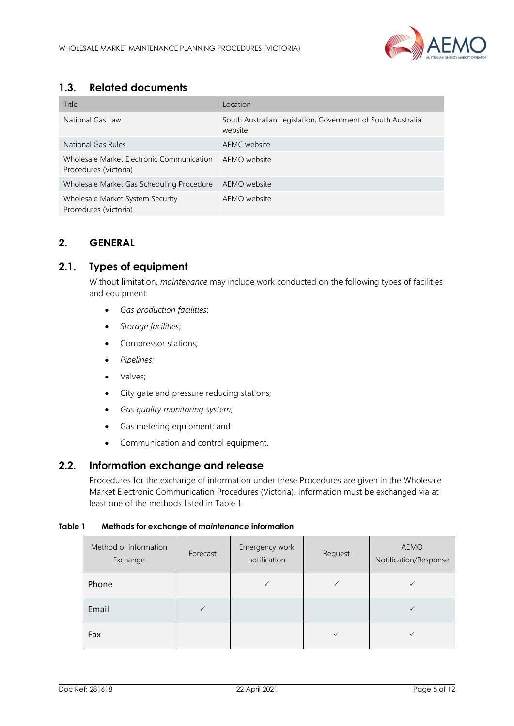

## <span id="page-4-0"></span>**1.3. Related documents**

| Title                                                              | Location                                                               |
|--------------------------------------------------------------------|------------------------------------------------------------------------|
| National Gas Law                                                   | South Australian Legislation, Government of South Australia<br>website |
| National Gas Rules                                                 | AEMC website                                                           |
| Wholesale Market Electronic Communication<br>Procedures (Victoria) | AEMO website                                                           |
| Wholesale Market Gas Scheduling Procedure                          | AEMO website                                                           |
| Wholesale Market System Security<br>Procedures (Victoria)          | AEMO website                                                           |

# <span id="page-4-1"></span>**2. GENERAL**

## <span id="page-4-2"></span>**2.1. Types of equipment**

Without limitation, *maintenance* may include work conducted on the following types of facilities and equipment:

- *Gas production facilities*;
- *Storage facilities*;
- Compressor stations;
- *Pipelines*;
- Valves;
- City gate and pressure reducing stations;
- *Gas quality monitoring system*;
- Gas metering equipment; and
- Communication and control equipment.

## <span id="page-4-3"></span>**2.2. Information exchange and release**

Procedures for the exchange of information under these Procedures are given in the Wholesale Market Electronic Communication Procedures (Victoria). Information must be exchanged via at least one of the methods listed in Table 1.

#### <span id="page-4-4"></span>**Table 1 Methods for exchange of** *maintenance* **information**

| Method of information<br>Exchange | Forecast | Emergency work<br>notification | Request | AEMO<br>Notification/Response |
|-----------------------------------|----------|--------------------------------|---------|-------------------------------|
| Phone                             |          | ✓                              | ✓       |                               |
| Email                             |          |                                |         |                               |
| Fax                               |          |                                | ✓       |                               |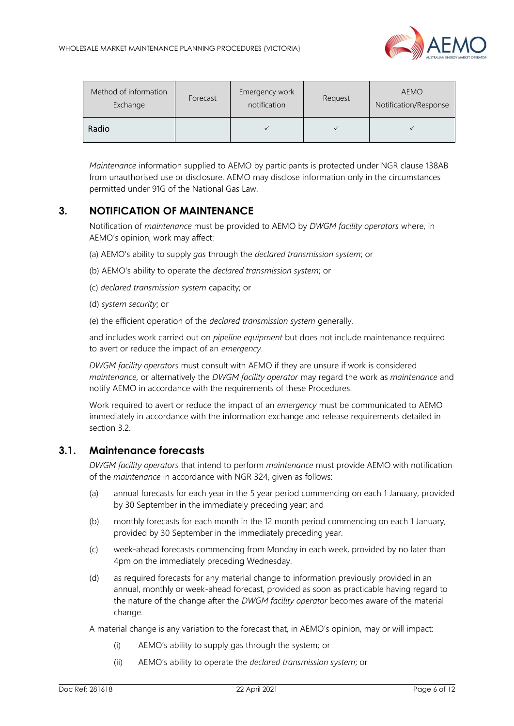

| Method of information<br>Exchange | Forecast | Emergency work<br>notification | Request | <b>AEMO</b><br>Notification/Response |
|-----------------------------------|----------|--------------------------------|---------|--------------------------------------|
| Radio                             |          |                                |         |                                      |

*Maintenance* information supplied to AEMO by participants is protected under NGR clause 138AB from unauthorised use or disclosure. AEMO may disclose information only in the circumstances permitted under 91G of the National Gas Law.

## <span id="page-5-0"></span>**3. NOTIFICATION OF MAINTENANCE**

Notification of *maintenance* must be provided to AEMO by *DWGM facility operators* where, in AEMO's opinion, work may affect:

- (a) AEMO's ability to supply *gas* through the *declared transmission system*; or
- (b) AEMO's ability to operate the *declared transmission system*; or
- (c) *declared transmission system* capacity; or
- (d) *system security*; or
- (e) the efficient operation of the *declared transmission system* generally,

and includes work carried out on *pipeline equipment* but does not include maintenance required to avert or reduce the impact of an *emergency*.

*DWGM facility operators* must consult with AEMO if they are unsure if work is considered *maintenance,* or alternatively the *DWGM facility operator* may regard the work as *maintenance* and notify AEMO in accordance with the requirements of these Procedures.

Work required to avert or reduce the impact of an *emergency* must be communicated to AEMO immediately in accordance with the information exchange and release requirements detailed in section 3.2.

## <span id="page-5-1"></span>**3.1. Maintenance forecasts**

*DWGM facility operators* that intend to perform *maintenance* must provide AEMO with notification of the *maintenance* in accordance with NGR 324, given as follows:

- (a) annual forecasts for each year in the 5 year period commencing on each 1 January, provided by 30 September in the immediately preceding year; and
- (b) monthly forecasts for each month in the 12 month period commencing on each 1 January, provided by 30 September in the immediately preceding year.
- (c) week-ahead forecasts commencing from Monday in each week, provided by no later than 4pm on the immediately preceding Wednesday.
- (d) as required forecasts for any material change to information previously provided in an annual, monthly or week-ahead forecast, provided as soon as practicable having regard to the nature of the change after the *DWGM facility operator* becomes aware of the material change.

A material change is any variation to the forecast that, in AEMO's opinion, may or will impact:

- (i) AEMO's ability to supply gas through the system; or
- (ii) AEMO's ability to operate the *declared transmission system*; or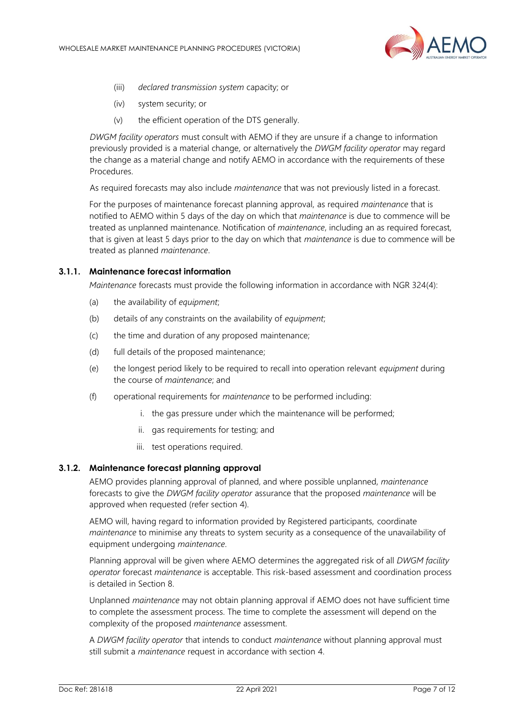

- (iii) *declared transmission system* capacity; or
- (iv) system security; or
- (v) the efficient operation of the DTS generally.

*DWGM facility operators* must consult with AEMO if they are unsure if a change to information previously provided is a material change*,* or alternatively the *DWGM facility operator* may regard the change as a material change and notify AEMO in accordance with the requirements of these Procedures.

As required forecasts may also include *maintenance* that was not previously listed in a forecast.

For the purposes of maintenance forecast planning approval, as required *maintenance* that is notified to AEMO within 5 days of the day on which that *maintenance* is due to commence will be treated as unplanned maintenance. Notification of *maintenance*, including an as required forecast, that is given at least 5 days prior to the day on which that *maintenance* is due to commence will be treated as planned *maintenance*.

#### <span id="page-6-0"></span>**3.1.1. Maintenance forecast information**

*Maintenance* forecasts must provide the following information in accordance with NGR 324(4):

- (a) the availability of *equipment*;
- (b) details of any constraints on the availability of *equipment*;
- (c) the time and duration of any proposed maintenance;
- (d) full details of the proposed maintenance;
- (e) the longest period likely to be required to recall into operation relevant *equipment* during the course of *maintenance*; and
- (f) operational requirements for *maintenance* to be performed including:
	- i. the gas pressure under which the maintenance will be performed;
	- ii. gas requirements for testing; and
	- iii. test operations required.

#### **3.1.2. Maintenance forecast planning approval**

AEMO provides planning approval of planned, and where possible unplanned, *maintenance* forecasts to give the *DWGM facility operator* assurance that the proposed *maintenance* will be approved when requested (refer section [4\)](#page-7-1).

AEMO will, having regard to information provided by Registered participants, coordinate *maintenance* to minimise any threats to system security as a consequence of the unavailability of equipment undergoing *maintenance*.

Planning approval will be given where AEMO determines the aggregated risk of all *DWGM facility operator* forecast *maintenance* is acceptable. This risk-based assessment and coordination process is detailed in Section [8.](#page-9-1) 

Unplanned *maintenance* may not obtain planning approval if AEMO does not have sufficient time to complete the assessment process. The time to complete the assessment will depend on the complexity of the proposed *maintenance* assessment.

A *DWGM facility operator* that intends to conduct *maintenance* without planning approval must still submit a *maintenance* request in accordance with section [4.](#page-7-1)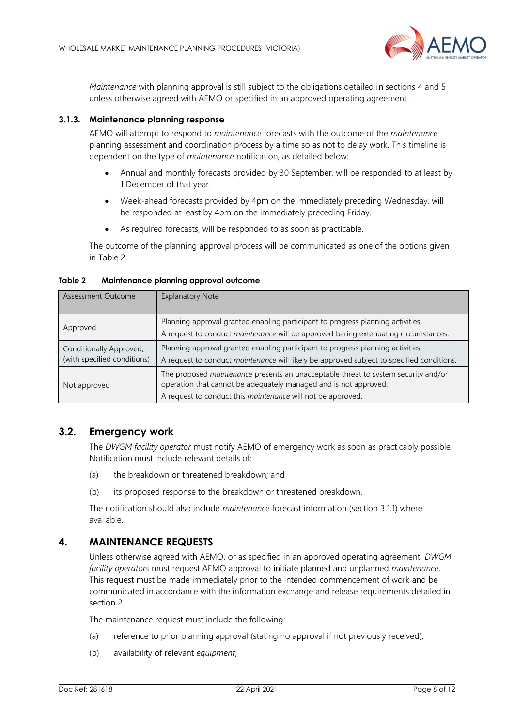

*Maintenance* with planning approval is still subject to the obligations detailed in sections [4](#page-7-1) and [5](#page-8-0) unless otherwise agreed with AEMO or specified in an approved operating agreement.

#### **3.1.3. Maintenance planning response**

AEMO will attempt to respond to *maintenance* forecasts with the outcome of the *maintenance* planning assessment and coordination process by a time so as not to delay work. This timeline is dependent on the type of *maintenance* notification, as detailed below:

- Annual and monthly forecasts provided by 30 September, will be responded to at least by 1 December of that year.
- Week-ahead forecasts provided by 4pm on the immediately preceding Wednesday, will be responded at least by 4pm on the immediately preceding Friday.
- As required forecasts, will be responded to as soon as practicable.

The outcome of the planning approval process will be communicated as one of the options given in [Table 2.](#page-7-2) 

| Assessment Outcome                                     | <b>Explanatory Note</b>                                                                                                                                                                                               |
|--------------------------------------------------------|-----------------------------------------------------------------------------------------------------------------------------------------------------------------------------------------------------------------------|
| Approved                                               | Planning approval granted enabling participant to progress planning activities.<br>A request to conduct maintenance will be approved baring extenuating circumstances.                                                |
| Conditionally Approved,<br>(with specified conditions) | Planning approval granted enabling participant to progress planning activities.<br>A request to conduct maintenance will likely be approved subject to specified conditions.                                          |
| Not approved                                           | The proposed maintenance presents an unacceptable threat to system security and/or<br>operation that cannot be adequately managed and is not approved.<br>A request to conduct this maintenance will not be approved. |

#### <span id="page-7-2"></span>**Table 2 Maintenance planning approval outcome**

## <span id="page-7-0"></span>**3.2. Emergency work**

The *DWGM facility operator* must notify AEMO of emergency work as soon as practicably possible. Notification must include relevant details of:

- (a) the breakdown or threatened breakdown; and
- (b) its proposed response to the breakdown or threatened breakdown.

The notification should also include *maintenance* forecast information (section [3.1.1\)](#page-6-0) where available.

## <span id="page-7-1"></span>**4. MAINTENANCE REQUESTS**

Unless otherwise agreed with AEMO, or as specified in an approved operating agreement, *DWGM facility operators* must request AEMO approval to initiate planned and unplanned *maintenance*. This request must be made immediately prior to the intended commencement of work and be communicated in accordance with the information exchange and release requirements detailed in section [2.](#page-4-1)

The maintenance request must include the following:

- (a) reference to prior planning approval (stating no approval if not previously received);
- (b) availability of relevant *equipment*;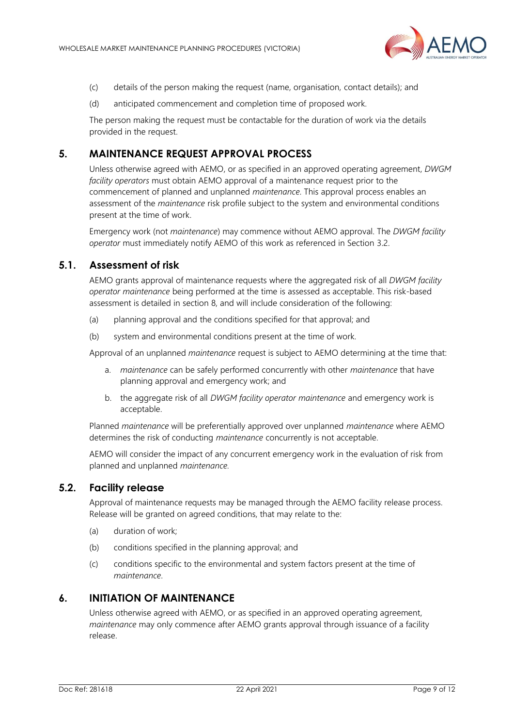

- (c) details of the person making the request (name, organisation, contact details); and
- (d) anticipated commencement and completion time of proposed work.

The person making the request must be contactable for the duration of work via the details provided in the request.

## <span id="page-8-0"></span>**5. MAINTENANCE REQUEST APPROVAL PROCESS**

Unless otherwise agreed with AEMO, or as specified in an approved operating agreement, *DWGM facility operators* must obtain AEMO approval of a maintenance request prior to the commencement of planned and unplanned *maintenance*. This approval process enables an assessment of the *maintenance* risk profile subject to the system and environmental conditions present at the time of work.

Emergency work (not *maintenance*) may commence without AEMO approval. The *DWGM facility operator* must immediately notify AEMO of this work as referenced in Section [3.2.](#page-7-0)

## <span id="page-8-1"></span>**5.1. Assessment of risk**

AEMO grants approval of maintenance requests where the aggregated risk of all *DWGM facility operator maintenance* being performed at the time is assessed as acceptable. This risk-based assessment is detailed in section [8,](#page-9-1) and will include consideration of the following:

- (a) planning approval and the conditions specified for that approval; and
- (b) system and environmental conditions present at the time of work.

Approval of an unplanned *maintenance* request is subject to AEMO determining at the time that:

- a. *maintenance* can be safely performed concurrently with other *maintenance* that have planning approval and emergency work; and
- b. the aggregate risk of all *DWGM facility operator maintenance* and emergency work is acceptable.

Planned *maintenance* will be preferentially approved over unplanned *maintenance* where AEMO determines the risk of conducting *maintenance* concurrently is not acceptable.

AEMO will consider the impact of any concurrent emergency work in the evaluation of risk from planned and unplanned *maintenance.*

## <span id="page-8-2"></span>**5.2. Facility release**

Approval of maintenance requests may be managed through the AEMO facility release process. Release will be granted on agreed conditions, that may relate to the:

- (a) duration of work;
- (b) conditions specified in the planning approval; and
- (c) conditions specific to the environmental and system factors present at the time of *maintenance*.

## <span id="page-8-3"></span>**6. INITIATION OF MAINTENANCE**

Unless otherwise agreed with AEMO, or as specified in an approved operating agreement, *maintenance* may only commence after AEMO grants approval through issuance of a facility release.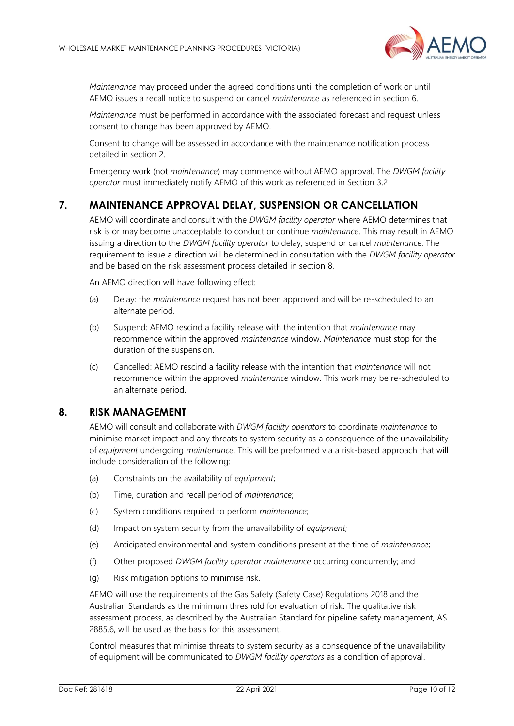

*Maintenance* may proceed under the agreed conditions until the completion of work or until AEMO issues a recall notice to suspend or cancel *maintenance* as referenced in section [6.](#page-8-3) 

*Maintenance* must be performed in accordance with the associated forecast and request unless consent to change has been approved by AEMO.

Consent to change will be assessed in accordance with the maintenance notification process detailed in section [2.](#page-4-1)

Emergency work (not *maintenance*) may commence without AEMO approval. The *DWGM facility operator* must immediately notify AEMO of this work as referenced in Section [3.2](#page-7-0)

## <span id="page-9-0"></span>**7. MAINTENANCE APPROVAL DELAY, SUSPENSION OR CANCELLATION**

AEMO will coordinate and consult with the *DWGM facility operator* where AEMO determines that risk is or may become unacceptable to conduct or continue *maintenance*. This may result in AEMO issuing a direction to the *DWGM facility operator* to delay, suspend or cancel *maintenance*. The requirement to issue a direction will be determined in consultation with the *DWGM facility operator* and be based on the risk assessment process detailed in section [8.](#page-9-1)

An AEMO direction will have following effect:

- (a) Delay: the *maintenance* request has not been approved and will be re-scheduled to an alternate period.
- (b) Suspend: AEMO rescind a facility release with the intention that *maintenance* may recommence within the approved *maintenance* window. *Maintenance* must stop for the duration of the suspension.
- (c) Cancelled: AEMO rescind a facility release with the intention that *maintenance* will not recommence within the approved *maintenance* window. This work may be re-scheduled to an alternate period.

## <span id="page-9-1"></span>**8. RISK MANAGEMENT**

AEMO will consult and collaborate with *DWGM facility operators* to coordinate *maintenance* to minimise market impact and any threats to system security as a consequence of the unavailability of *equipment* undergoing *maintenance*. This will be preformed via a risk-based approach that will include consideration of the following:

- (a) Constraints on the availability of *equipment*;
- (b) Time, duration and recall period of *maintenance*;
- (c) System conditions required to perform *maintenance*;
- (d) Impact on system security from the unavailability of *equipment*;
- (e) Anticipated environmental and system conditions present at the time of *maintenance*;
- (f) Other proposed *DWGM facility operator maintenance* occurring concurrently; and
- (g) Risk mitigation options to minimise risk.

AEMO will use the requirements of the Gas Safety (Safety Case) Regulations 2018 and the Australian Standards as the minimum threshold for evaluation of risk. The qualitative risk assessment process, as described by the Australian Standard for pipeline safety management, AS 2885.6, will be used as the basis for this assessment.

Control measures that minimise threats to system security as a consequence of the unavailability of equipment will be communicated to *DWGM facility operators* as a condition of approval.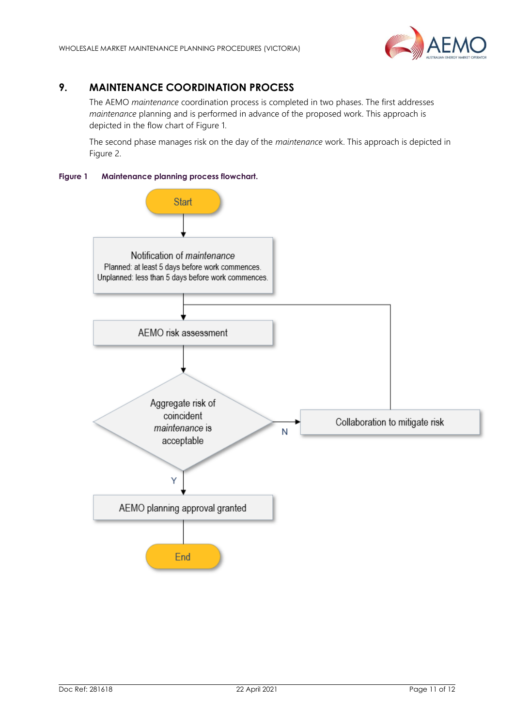

## <span id="page-10-0"></span>**9. MAINTENANCE COORDINATION PROCESS**

The AEMO *maintenance* coordination process is completed in two phases. The first addresses *maintenance* planning and is performed in advance of the proposed work. This approach is depicted in the flow chart of [Figure 1.](#page-10-1) 

The second phase manages risk on the day of the *maintenance* work. This approach is depicted in [Figure 2.](#page-11-0) 

#### <span id="page-10-1"></span>**Figure 1 Maintenance planning process flowchart.**